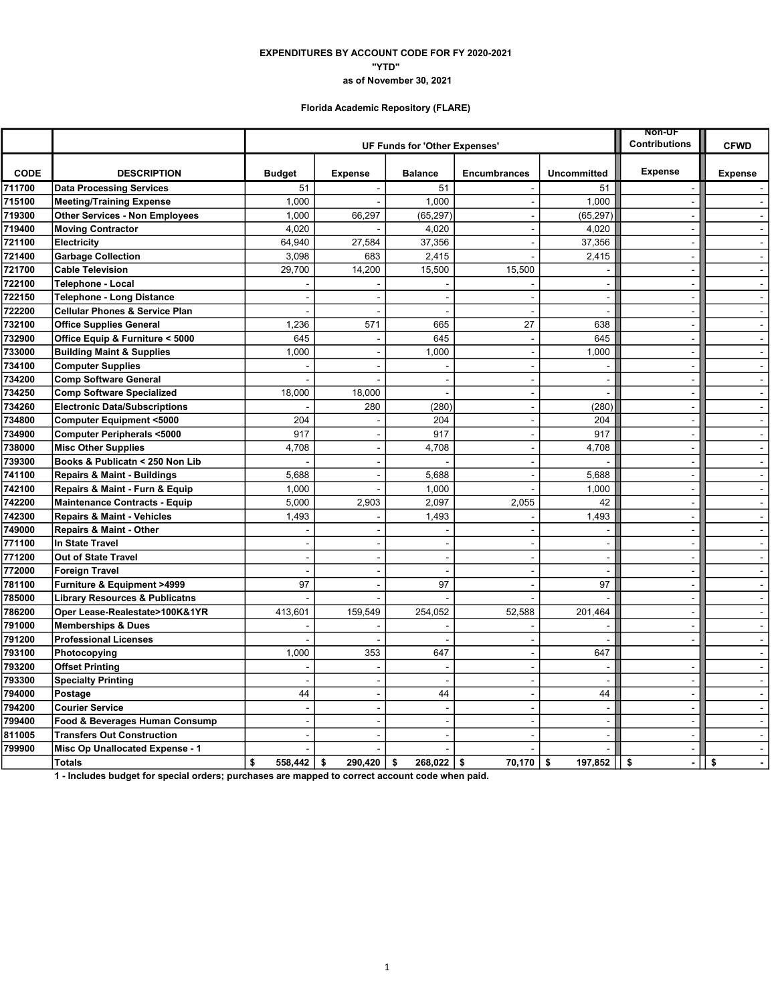### EXPENDITURES BY ACCOUNT CODE FOR FY 2020-2021 "YTD" as of November 30, 2021

# Florida Academic Repository (FLARE)

|             |                                           |                |                               | <b>Non-UF</b>        |                          |                          |                          |                                |
|-------------|-------------------------------------------|----------------|-------------------------------|----------------------|--------------------------|--------------------------|--------------------------|--------------------------------|
|             |                                           |                | UF Funds for 'Other Expenses' | <b>Contributions</b> | <b>CFWD</b>              |                          |                          |                                |
| <b>CODE</b> | <b>DESCRIPTION</b>                        | <b>Budget</b>  | <b>Expense</b>                | <b>Balance</b>       | <b>Encumbrances</b>      | <b>Uncommitted</b>       | <b>Expense</b>           | <b>Expense</b>                 |
| 711700      | <b>Data Processing Services</b>           | 51             |                               | 51                   |                          | 51                       |                          |                                |
| 715100      | <b>Meeting/Training Expense</b>           | 1,000          |                               | 1,000                | $\blacksquare$           | 1.000                    | $\blacksquare$           | $\mathcal{L}^{\mathcal{L}}$    |
| 719300      | <b>Other Services - Non Employees</b>     | 1,000          | 66,297                        | (65, 297)            | $\blacksquare$           | (65, 297)                |                          | $\sim$                         |
| 719400      | <b>Moving Contractor</b>                  | 4,020          |                               | 4,020                |                          | 4,020                    | $\sim$                   | $\overline{a}$                 |
| 721100      | Electricity                               | 64.940         | 27,584                        | 37,356               | $\overline{\phantom{a}}$ | 37,356                   |                          | $\mathbf{r}$                   |
| 721400      | <b>Garbage Collection</b>                 | 3,098          | 683                           | 2,415                | ÷                        | 2,415                    | $\sim$                   | $\blacksquare$                 |
| 721700      | <b>Cable Television</b>                   | 29,700         | 14,200                        | 15,500               | 15,500                   |                          |                          | $\blacksquare$                 |
| 722100      | Telephone - Local                         |                |                               |                      |                          | $\blacksquare$           | $\sim$                   | $\blacksquare$                 |
| 722150      | <b>Telephone - Long Distance</b>          |                |                               | $\blacksquare$       |                          | $\sim$                   | $\overline{\phantom{a}}$ | $\blacksquare$                 |
| 722200      | <b>Cellular Phones &amp; Service Plan</b> |                | J.                            | $\sim$               | ÷.                       | $\sim$                   | $\sim$                   | $\sim$                         |
| 732100      | <b>Office Supplies General</b>            | 1,236          | 571                           | 665                  | 27                       | 638                      | ÷,                       | $\mathbf{r}$                   |
| 732900      | Office Equip & Furniture < 5000           | 645            | $\overline{\phantom{a}}$      | 645                  | $\overline{a}$           | 645                      | $\sim$                   | $\blacksquare$                 |
| 733000      | <b>Building Maint &amp; Supplies</b>      | 1,000          | $\overline{a}$                | 1,000                | $\blacksquare$           | 1,000                    | $\overline{\phantom{a}}$ | ä,                             |
| 734100      | <b>Computer Supplies</b>                  |                | J.                            |                      | $\overline{\phantom{a}}$ | $\sim$                   | $\sim$                   | $\blacksquare$                 |
| 734200      | <b>Comp Software General</b>              |                |                               | $\blacksquare$       | $\sim$                   | $\blacksquare$           | $\sim$                   | $\sim$                         |
| 734250      | <b>Comp Software Specialized</b>          | 18,000         | 18,000                        | $\overline{a}$       | $\overline{a}$           | $\overline{\phantom{a}}$ | $\sim$                   | $\mathbf{r}$                   |
| 734260      | <b>Electronic Data/Subscriptions</b>      |                | 280                           | (280)                | $\overline{a}$           | (280)                    |                          | $\blacksquare$                 |
| 734800      | <b>Computer Equipment &lt;5000</b>        | 204            |                               | 204                  | $\blacksquare$           | 204                      | $\overline{\phantom{a}}$ | $\omega$                       |
| 734900      | <b>Computer Peripherals &lt;5000</b>      | 917            | J.                            | 917                  | $\overline{a}$           | 917                      |                          | $\sim$                         |
| 738000      | <b>Misc Other Supplies</b>                | 4,708          | $\sim$                        | 4,708                | $\blacksquare$           | 4,708                    | $\sim$                   | $\omega$                       |
| 739300      | Books & Publicatn < 250 Non Lib           |                | ÷                             |                      | $\overline{a}$           |                          | $\sim$                   | $\blacksquare$                 |
| 741100      | <b>Repairs &amp; Maint - Buildings</b>    | 5,688          | ÷,                            | 5,688                | $\overline{a}$           | 5,688                    |                          | $\omega$                       |
| 742100      | Repairs & Maint - Furn & Equip            | 1,000          |                               | 1,000                |                          | 1,000                    |                          | $\sim$                         |
| 742200      | <b>Maintenance Contracts - Equip</b>      | 5,000          | 2,903                         | 2,097                | 2,055                    | 42                       | $\sim$                   | $\blacksquare$                 |
| 742300      | <b>Repairs &amp; Maint - Vehicles</b>     | 1,493          |                               | 1,493                |                          | 1,493                    |                          | $\blacksquare$                 |
| 749000      | <b>Repairs &amp; Maint - Other</b>        |                |                               |                      |                          | $\overline{\phantom{a}}$ |                          | $\mathbf{r}$                   |
| 771100      | <b>In State Travel</b>                    | $\sim$         | ÷                             | $\overline{a}$       | $\overline{a}$           | $\blacksquare$           | $\sim$                   | $\sim$                         |
| 771200      | <b>Out of State Travel</b>                |                | ÷,                            | $\sim$               | $\overline{a}$           | $\sim$                   | $\sim$                   | $\sim$                         |
| 772000      | <b>Foreign Travel</b>                     |                | J.                            | $\overline{a}$       |                          | $\overline{\phantom{a}}$ |                          | $\omega$                       |
| 781100      | Furniture & Equipment >4999               | 97             | $\overline{\phantom{a}}$      | 97                   | $\overline{a}$           | 97                       | $\sim$                   | $\omega$                       |
| 785000      | <b>Library Resources &amp; Publicatns</b> |                |                               |                      |                          |                          |                          | $\tilde{\phantom{a}}$          |
| 786200      | Oper Lease-Realestate>100K&1YR            | 413,601        | 159,549                       | 254,052              | 52,588                   | 201,464                  | $\overline{\phantom{a}}$ | $\sim$                         |
| 791000      | <b>Memberships &amp; Dues</b>             |                |                               |                      |                          | $\sim$                   | $\sim$                   | $\blacksquare$                 |
| 791200      | <b>Professional Licenses</b>              |                | L.                            | $\overline{a}$       | $\blacksquare$           | $\overline{\phantom{a}}$ |                          | $\blacksquare$                 |
| 793100      | Photocopying                              | 1,000          | 353                           | 647                  |                          | 647                      |                          | $\mathbf{r}$                   |
| 793200      | <b>Offset Printing</b>                    |                |                               |                      | $\overline{a}$           | $\overline{\phantom{a}}$ | $\overline{\phantom{a}}$ | $\mathbf{r}$                   |
| 793300      | <b>Specialty Printing</b>                 |                | J.                            |                      | $\overline{\phantom{a}}$ | $\overline{\phantom{a}}$ | $\sim$                   | $\blacksquare$                 |
| 794000      | Postage                                   | 44             | з.                            | 44                   | $\overline{\phantom{0}}$ | 44                       |                          | $\blacksquare$                 |
| 794200      | <b>Courier Service</b>                    | $\overline{a}$ | ÷                             | $\sim$               | $\sim$                   | $\sim$                   | $\sim$                   | $\sim$                         |
| 799400      | Food & Beverages Human Consump            |                |                               |                      |                          | $\blacksquare$           |                          | $\tilde{\phantom{a}}$          |
| 811005      | <b>Transfers Out Construction</b>         |                |                               |                      |                          | $\overline{\phantom{a}}$ |                          | $\mathbf{r}$                   |
| 799900      | Misc Op Unallocated Expense - 1           |                |                               |                      |                          | L.                       | L,                       | $\tilde{\phantom{a}}$          |
|             | <b>Totals</b>                             | \$<br>558.442  | 290.420<br>\$                 | 268.022<br>\$        | \$<br>70.170             | \$<br>197,852            | \$<br>$\blacksquare$     | \$<br>$\overline{\phantom{a}}$ |

1 - Includes budget for special orders; purchases are mapped to correct account code when paid.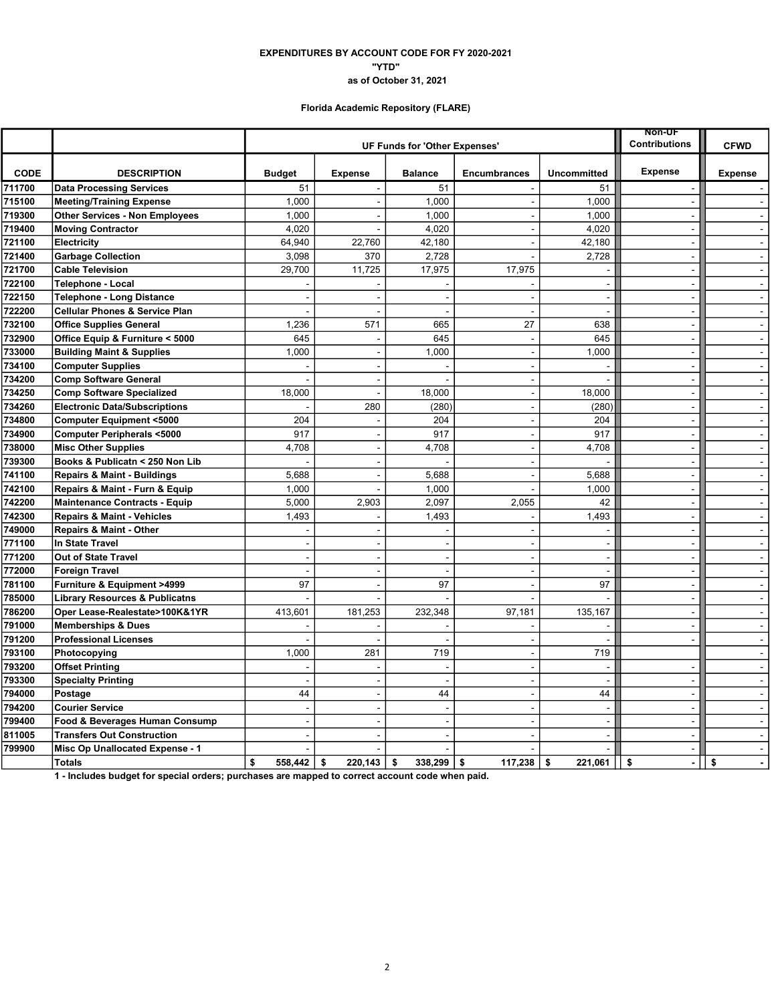### "YTD" EXPENDITURES BY ACCOUNT CODE FOR FY 2020-2021 as of October 31, 2021

# Florida Academic Repository (FLARE)

|             |                                           |                |                               |                                   |                          |                          | <b>Non-UF</b>        |                                |
|-------------|-------------------------------------------|----------------|-------------------------------|-----------------------------------|--------------------------|--------------------------|----------------------|--------------------------------|
|             |                                           |                | UF Funds for 'Other Expenses' | <b>Contributions</b>              | <b>CFWD</b>              |                          |                      |                                |
| <b>CODE</b> | <b>DESCRIPTION</b>                        | <b>Budget</b>  | <b>Expense</b>                | <b>Balance</b>                    | <b>Encumbrances</b>      | <b>Uncommitted</b>       | <b>Expense</b>       | <b>Expense</b>                 |
| 711700      | <b>Data Processing Services</b>           | 51             |                               | 51                                |                          | 51                       |                      |                                |
| 715100      | <b>Meeting/Training Expense</b>           | 1,000          |                               | 1,000<br>$\overline{\phantom{a}}$ |                          | 1,000                    | L.                   | $\sim$                         |
| 719300      | <b>Other Services - Non Employees</b>     | 1,000          |                               | 1,000<br>$\blacksquare$           |                          | 1,000                    | $\blacksquare$       | $\blacksquare$                 |
| 719400      | <b>Moving Contractor</b>                  | 4.020          |                               | 4,020                             |                          | 4,020                    | $\sim$               | $\sim$                         |
| 721100      | Electricity                               | 64.940         | 22,760                        | 42,180                            | $\overline{a}$           | 42,180                   | $\blacksquare$       | $\sim$                         |
| 721400      | <b>Garbage Collection</b>                 | 3,098          | 370                           | 2,728                             |                          | 2,728                    | $\sim$               | $\sim$                         |
| 721700      | <b>Cable Television</b>                   | 29,700         | 11,725                        | 17,975                            | 17,975                   |                          | $\sim$               | $\mathbf{u}$                   |
| 722100      | <b>Telephone - Local</b>                  |                |                               |                                   |                          | ÷,                       | L,                   | $\blacksquare$                 |
| 722150      | <b>Telephone - Long Distance</b>          |                |                               | $\overline{\phantom{a}}$          |                          | $\sim$                   | $\blacksquare$       | $\sim$                         |
| 722200      | <b>Cellular Phones &amp; Service Plan</b> |                |                               | $\blacksquare$                    | $\overline{a}$           | $\sim$                   | $\sim$               | $\sim$                         |
| 732100      | <b>Office Supplies General</b>            | 1,236          | 571                           | 665                               | 27                       | 638                      | ÷,                   | $\sim$                         |
| 732900      | Office Equip & Furniture < 5000           | 645            |                               | 645                               |                          | 645                      | $\sim$               | $\sim$                         |
| 733000      | <b>Building Maint &amp; Supplies</b>      | 1,000          |                               | 1,000<br>$\sim$                   | $\sim$                   | 1,000                    | $\mathbf{r}$         | $\mathbf{r}$                   |
| 734100      | <b>Computer Supplies</b>                  |                |                               | $\blacksquare$                    | $\sim$                   | ÷,                       | $\blacksquare$       | $\sim$                         |
| 734200      | <b>Comp Software General</b>              |                |                               | $\overline{\phantom{a}}$          | $\overline{\phantom{a}}$ | $\overline{a}$           | $\sim$               | $\sim$                         |
| 734250      | <b>Comp Software Specialized</b>          | 18.000         |                               | 18,000<br>J.                      | $\sim$                   | 18,000                   | $\mathbf{r}$         | $\sim$                         |
| 734260      | <b>Electronic Data/Subscriptions</b>      |                | 280                           | (280)                             |                          | (280)                    | ÷,                   | $\sim$                         |
| 734800      | <b>Computer Equipment &lt;5000</b>        | 204            |                               | 204                               | $\sim$                   | 204                      | $\sim$               | $\sim$                         |
| 734900      | <b>Computer Peripherals &lt;5000</b>      | 917            |                               | 917<br>$\overline{\phantom{a}}$   | $\overline{\phantom{a}}$ | 917                      | $\blacksquare$       | $\blacksquare$                 |
| 738000      | <b>Misc Other Supplies</b>                | 4,708          |                               | 4,708<br>$\sim$                   | $\blacksquare$           | 4,708                    | $\blacksquare$       | $\blacksquare$                 |
| 739300      | Books & Publicatn < 250 Non Lib           |                |                               | $\blacksquare$                    | ÷.                       |                          | $\sim$               | $\sim$                         |
| 741100      | <b>Repairs &amp; Maint - Buildings</b>    | 5,688          |                               | 5,688<br>$\ddot{\phantom{0}}$     | $\overline{a}$           | 5,688                    | L,                   | $\sim$                         |
| 742100      | Repairs & Maint - Furn & Equip            | 1,000          |                               | 1,000                             |                          | 1,000                    | $\sim$               | $\mathbf{r}$                   |
| 742200      | <b>Maintenance Contracts - Equip</b>      | 5,000          | 2,903                         | 2,097                             | 2,055                    | 42                       | $\mathbf{r}$         | $\sim$                         |
| 742300      | <b>Repairs &amp; Maint - Vehicles</b>     | 1,493          |                               | 1,493                             |                          | 1,493                    | L,                   | $\blacksquare$                 |
| 749000      | Repairs & Maint - Other                   |                |                               |                                   |                          |                          | $\blacksquare$       | $\sim$                         |
| 771100      | <b>In State Travel</b>                    |                |                               | $\overline{a}$<br>÷               | $\sim$                   | $\sim$                   | $\sim$               | $\sim$                         |
| 771200      | <b>Out of State Travel</b>                |                |                               | $\blacksquare$                    |                          | $\overline{\phantom{a}}$ | $\blacksquare$       | $\blacksquare$                 |
| 772000      | <b>Foreign Travel</b>                     |                |                               | $\overline{\phantom{a}}$          |                          | $\overline{\phantom{a}}$ | $\sim$               | $\sim$                         |
| 781100      | Furniture & Equipment >4999               | 97             |                               | 97<br>$\sim$                      | $\sim$                   | 97                       | $\mathbf{r}$         | $\sim$                         |
| 785000      | <b>Library Resources &amp; Publicatns</b> |                |                               |                                   |                          |                          | L.                   | $\blacksquare$                 |
| 786200      | Oper Lease-Realestate>100K&1YR            | 413,601        | 181,253                       | 232,348                           | 97,181                   | 135,167                  | $\sim$               | $\sim$                         |
| 791000      | <b>Memberships &amp; Dues</b>             |                |                               | ÷<br>$\overline{a}$               |                          | $\overline{\phantom{a}}$ | $\sim$               | $\sim$                         |
| 791200      | <b>Professional Licenses</b>              |                |                               |                                   |                          |                          | ÷,                   | $\sim$                         |
| 793100      | Photocopying                              | 1,000          | 281                           | 719                               | $\sim$                   | 719                      |                      | $\sim$                         |
| 793200      | <b>Offset Printing</b>                    |                |                               |                                   | $\overline{\phantom{a}}$ | $\overline{\phantom{a}}$ | $\blacksquare$       | $\sim$                         |
| 793300      | <b>Specialty Printing</b>                 |                |                               | $\blacksquare$<br>L.              | $\blacksquare$           | $\blacksquare$           | ä,                   | $\sim$                         |
| 794000      | Postage                                   | 44             |                               | 44<br>$\blacksquare$              | $\blacksquare$           | 44                       | $\blacksquare$       | $\sim$                         |
| 794200      | <b>Courier Service</b>                    | $\overline{a}$ |                               | $\sim$<br>$\sim$                  | $\overline{a}$           | $\mathbf{r}$             | $\sim$               | $\bullet$                      |
| 799400      | Food & Beverages Human Consump            |                |                               | $\overline{a}$                    |                          | L.                       | ÷,                   | $\mathbf{r}$                   |
| 811005      | <b>Transfers Out Construction</b>         |                |                               | ÷                                 |                          | $\sim$                   | $\sim$               | $\sim$                         |
| 799900      | Misc Op Unallocated Expense - 1           |                |                               |                                   |                          | ÷,                       | $\overline{a}$       | $\blacksquare$                 |
|             | <b>Totals</b>                             | \$<br>558.442  | \$<br>220.143                 | 338.299<br>\$                     | \$<br>117,238            | 221,061<br>\$            | \$<br>$\blacksquare$ | \$<br>$\overline{\phantom{0}}$ |

1 - Includes budget for special orders; purchases are mapped to correct account code when paid.